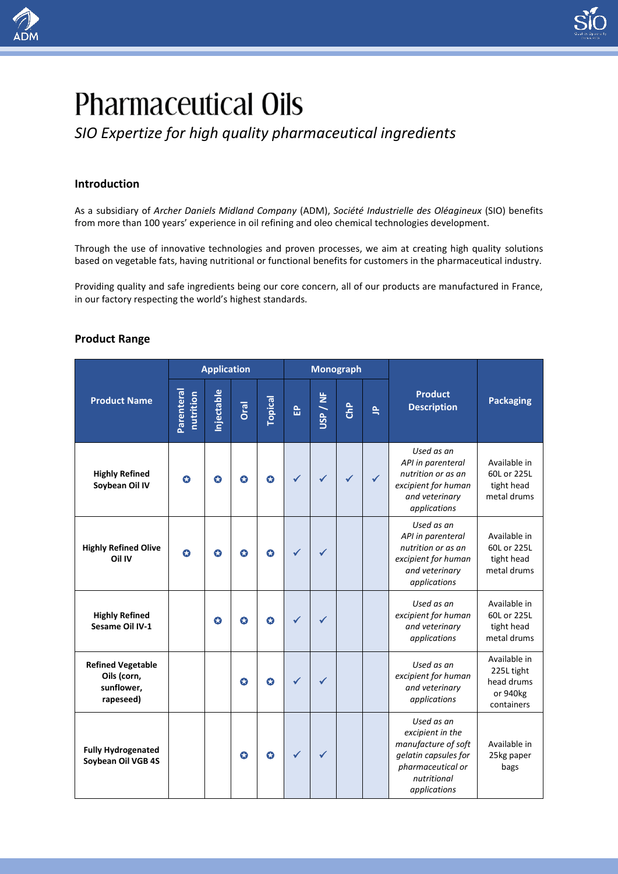

# **Pharmaceutical Oils**

*SIO Expertize for high quality pharmaceutical ingredients*

# **Introduction**

As a subsidiary of *Archer Daniels Midland Company* (ADM), *Société Industrielle des Oléagineux* (SIO) benefits from more than 100 years' experience in oil refining and oleo chemical technologies development.

Through the use of innovative technologies and proven processes, we aim at creating high quality solutions based on vegetable fats, having nutritional or functional benefits for customers in the pharmaceutical industry.

Providing quality and safe ingredients being our core concern, all of our products are manufactured in France, in our factory respecting the world's highest standards.

## **Product Range**

|                                                                    | <b>Application</b>      |           |           |                | <b>Monograph</b> |          |              |              |                                                                                                                                   |                                                                    |
|--------------------------------------------------------------------|-------------------------|-----------|-----------|----------------|------------------|----------|--------------|--------------|-----------------------------------------------------------------------------------------------------------------------------------|--------------------------------------------------------------------|
| <b>Product Name</b>                                                | Parenteral<br>nutrition | njectable | Oral      | <b>Topical</b> | 읎                | USP / NF | <b>ChP</b>   | $\triangleq$ | <b>Product</b><br><b>Description</b>                                                                                              | <b>Packaging</b>                                                   |
| <b>Highly Refined</b><br>Soybean Oil IV                            | Q                       | $\bullet$ | $\bullet$ | $\bullet$      |                  |          | $\checkmark$ | $\checkmark$ | Used as an<br>API in parenteral<br>nutrition or as an<br>excipient for human<br>and veterinary<br>applications                    | Available in<br>60L or 225L<br>tight head<br>metal drums           |
| <b>Highly Refined Olive</b><br>Oil IV                              | $\bullet$               | $\bullet$ | O         | $\bullet$      |                  |          |              |              | Used as an<br>API in parenteral<br>nutrition or as an<br>excipient for human<br>and veterinary<br>applications                    | Available in<br>60L or 225L<br>tight head<br>metal drums           |
| <b>Highly Refined</b><br>Sesame Oil IV-1                           |                         | $\bullet$ | O         | O              |                  |          |              |              | Used as an<br>excipient for human<br>and veterinary<br>applications                                                               | Available in<br>60L or 225L<br>tight head<br>metal drums           |
| <b>Refined Vegetable</b><br>Oils (corn,<br>sunflower,<br>rapeseed) |                         |           | $\bullet$ | $\bullet$      |                  |          |              |              | Used as an<br>excipient for human<br>and veterinary<br>applications                                                               | Available in<br>225L tight<br>head drums<br>or 940kg<br>containers |
| <b>Fully Hydrogenated</b><br>Soybean Oil VGB 4S                    |                         |           | $\bullet$ | Q              |                  |          |              |              | Used as an<br>excipient in the<br>manufacture of soft<br>gelatin capsules for<br>pharmaceutical or<br>nutritional<br>applications | Available in<br>25kg paper<br>bags                                 |